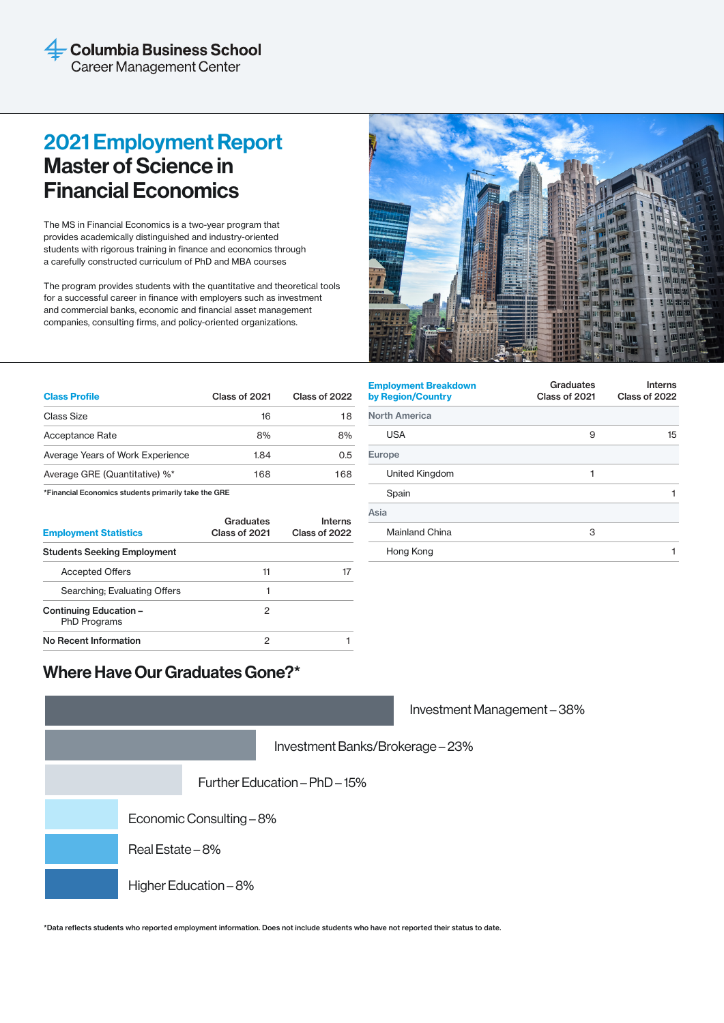## 2021 Employment Report Master of Science in Financial Economics

The MS in Financial Economics is a two-year program that provides academically distinguished and industry-oriented students with rigorous training in finance and economics through a carefully constructed curriculum of PhD and MBA courses

The program provides students with the quantitative and theoretical tools for a successful career in finance with employers such as investment and commercial banks, economic and financial asset management companies, consulting firms, and policy-oriented organizations.



| <b>Class Profile</b>             | Class of 2021 | Class of 2022 |
|----------------------------------|---------------|---------------|
| Class Size                       | 16            | 18            |
| Acceptance Rate                  | 8%            | 8%            |
| Average Years of Work Experience | 1.84          | 0.5           |
| Average GRE (Quantitative) %*    | 168           | 168           |
|                                  |               |               |

\*Financial Economics students primarily take the GRE

| <b>Employment Statistics</b>                  | Graduates<br>Class of 2021 | Interns<br>Class of 2022 |
|-----------------------------------------------|----------------------------|--------------------------|
| <b>Students Seeking Employment</b>            |                            |                          |
| <b>Accepted Offers</b>                        | 11                         |                          |
| Searching; Evaluating Offers                  |                            |                          |
| Continuing Education -<br><b>PhD Programs</b> | 2                          |                          |
| No Recent Information                         | っ                          |                          |

| <b>Employment Breakdown</b><br>by Region/Country | Graduates<br>Class of 2021 | <b>Interns</b><br>Class of 2022 |
|--------------------------------------------------|----------------------------|---------------------------------|
| <b>North America</b>                             |                            |                                 |
| <b>USA</b>                                       | 9                          | 15                              |
| Europe                                           |                            |                                 |
| United Kingdom                                   | 1                          |                                 |
| Spain                                            |                            |                                 |
| Asia                                             |                            |                                 |
| <b>Mainland China</b>                            | 3                          |                                 |
| Hong Kong                                        |                            |                                 |
|                                                  |                            |                                 |

## Where Have Our Graduates Gone?\*

|                                |                       | Investment Management-38% |  |
|--------------------------------|-----------------------|---------------------------|--|
| Investment Banks/Brokerage-23% |                       |                           |  |
| Further Education - PhD - 15%  |                       |                           |  |
| Economic Consulting - 8%       |                       |                           |  |
| Real Estate – 8%               |                       |                           |  |
|                                | Higher Education - 8% |                           |  |

\*Data reflects students who reported employment information. Does not include students who have not reported their status to date.